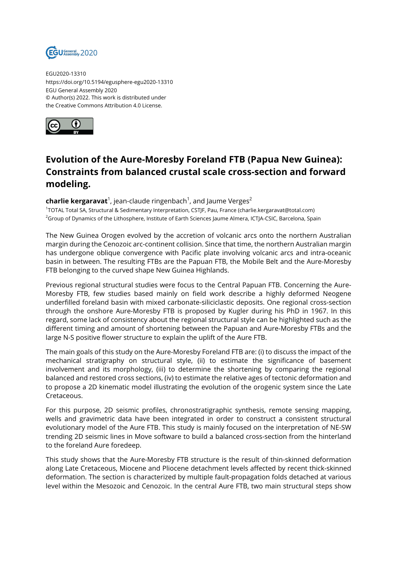

EGU2020-13310 https://doi.org/10.5194/egusphere-egu2020-13310 EGU General Assembly 2020 © Author(s) 2022. This work is distributed under the Creative Commons Attribution 4.0 License.



## **Evolution of the Aure-Moresby Foreland FTB (Papua New Guinea): Constraints from balanced crustal scale cross-section and forward modeling.**

## **charlie kergaravat**<sup>1</sup>, jean-claude ringenbach<sup>1</sup>, and Jaume Verges<sup>2</sup>

1 TOTAL Total SA, Structural & Sedimentary Interpretation, CSTJF, Pau, France (charlie.kergaravat@total.com) <sup>2</sup>Group of Dynamics of the Lithosphere, Institute of Earth Sciences Jaume Almera, ICTJA-CSIC, Barcelona, Spain

The New Guinea Orogen evolved by the accretion of volcanic arcs onto the northern Australian margin during the Cenozoic arc-continent collision. Since that time, the northern Australian margin has undergone oblique convergence with Pacific plate involving volcanic arcs and intra-oceanic basin in between. The resulting FTBs are the Papuan FTB, the Mobile Belt and the Aure-Moresby FTB belonging to the curved shape New Guinea Highlands.

Previous regional structural studies were focus to the Central Papuan FTB. Concerning the Aure-Moresby FTB, few studies based mainly on field work describe a highly deformed Neogene underfilled foreland basin with mixed carbonate-siliciclastic deposits. One regional cross-section through the onshore Aure-Moresby FTB is proposed by Kugler during his PhD in 1967. In this regard, some lack of consistency about the regional structural style can be highlighted such as the different timing and amount of shortening between the Papuan and Aure-Moresby FTBs and the large N-S positive flower structure to explain the uplift of the Aure FTB.

The main goals of this study on the Aure-Moresby Foreland FTB are: (i) to discuss the impact of the mechanical stratigraphy on structural style, (ii) to estimate the significance of basement involvement and its morphology, (iii) to determine the shortening by comparing the regional balanced and restored cross sections, (iv) to estimate the relative ages of tectonic deformation and to propose a 2D kinematic model illustrating the evolution of the orogenic system since the Late Cretaceous.

For this purpose, 2D seismic profiles, chronostratigraphic synthesis, remote sensing mapping, wells and gravimetric data have been integrated in order to construct a consistent structural evolutionary model of the Aure FTB. This study is mainly focused on the interpretation of NE-SW trending 2D seismic lines in Move software to build a balanced cross-section from the hinterland to the foreland Aure foredeep.

This study shows that the Aure-Moresby FTB structure is the result of thin-skinned deformation along Late Cretaceous, Miocene and Pliocene detachment levels affected by recent thick-skinned deformation. The section is characterized by multiple fault-propagation folds detached at various level within the Mesozoic and Cenozoic. In the central Aure FTB, two main structural steps show